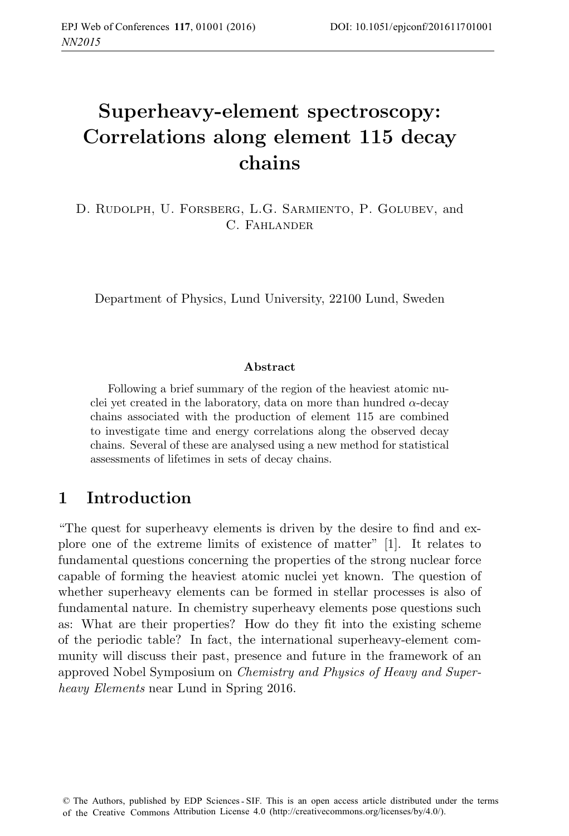# **Superheavy-element spectroscopy: Correlations along element 115 decay chains**

D. Rudolph, U. Forsberg, L.G. Sarmiento, P. Golubev, and C. Fahlander

Department of Physics, Lund University, 22100 Lund, Sweden

#### **Abstract**

Following a brief summary of the region of the heaviest atomic nuclei yet created in the laboratory, data on more than hundred  $\alpha$ -decay chains associated with the production of element 115 are combined to investigate time and energy correlations along the observed decay chains. Several of these are analysed using a new method for statistical assessments of lifetimes in sets of decay chains.

### **1 Introduction**

"The quest for superheavy elements is driven by the desire to find and explore one of the extreme limits of existence of matter" [1]. It relates to fundamental questions concerning the properties of the strong nuclear force capable of forming the heaviest atomic nuclei yet known. The question of whether superheavy elements can be formed in stellar processes is also of fundamental nature. In chemistry superheavy elements pose questions such as: What are their properties? How do they fit into the existing scheme of the periodic table? In fact, the international superheavy-element community will discuss their past, presence and future in the framework of an approved Nobel Symposium on Chemistry and Physics of Heavy and Superheavy Elements near Lund in Spring 2016.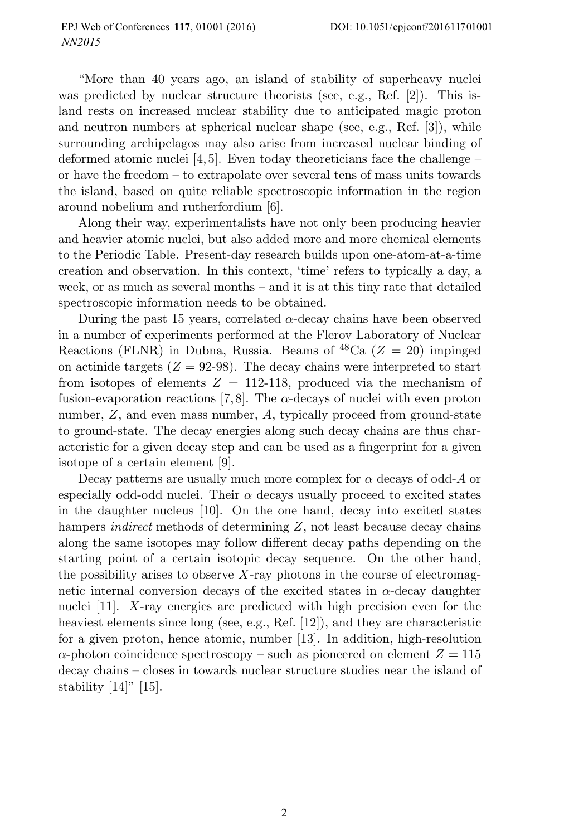"More than 40 years ago, an island of stability of superheavy nuclei was predicted by nuclear structure theorists (see, e.g., Ref. [2]). This island rests on increased nuclear stability due to anticipated magic proton and neutron numbers at spherical nuclear shape (see, e.g., Ref. [3]), while surrounding archipelagos may also arise from increased nuclear binding of deformed atomic nuclei  $[4, 5]$ . Even today theoreticians face the challenge – or have the freedom – to extrapolate over several tens of mass units towards the island, based on quite reliable spectroscopic information in the region around nobelium and rutherfordium [6].

Along their way, experimentalists have not only been producing heavier and heavier atomic nuclei, but also added more and more chemical elements to the Periodic Table. Present-day research builds upon one-atom-at-a-time creation and observation. In this context, 'time' refers to typically a day, a week, or as much as several months – and it is at this tiny rate that detailed spectroscopic information needs to be obtained.

During the past 15 years, correlated  $\alpha$ -decay chains have been observed in a number of experiments performed at the Flerov Laboratory of Nuclear Reactions (FLNR) in Dubna, Russia. Beams of  ${}^{48}Ca$  ( $Z = 20$ ) impinged on actinide targets  $(Z = 92-98)$ . The decay chains were interpreted to start from isotopes of elements  $Z = 112{\text -}118$ , produced via the mechanism of fusion-evaporation reactions [7,8]. The  $\alpha$ -decays of nuclei with even proton number,  $Z$ , and even mass number,  $A$ , typically proceed from ground-state to ground-state. The decay energies along such decay chains are thus characteristic for a given decay step and can be used as a fingerprint for a given isotope of a certain element [9].

Decay patterns are usually much more complex for  $\alpha$  decays of odd-A or especially odd-odd nuclei. Their  $\alpha$  decays usually proceed to excited states in the daughter nucleus [10]. On the one hand, decay into excited states hampers *indirect* methods of determining  $Z$ , not least because decay chains along the same isotopes may follow different decay paths depending on the starting point of a certain isotopic decay sequence. On the other hand, the possibility arises to observe  $X$ -ray photons in the course of electromagnetic internal conversion decays of the excited states in  $\alpha$ -decay daughter nuclei [11]. X-ray energies are predicted with high precision even for the heaviest elements since long (see, e.g., Ref. [12]), and they are characteristic for a given proton, hence atomic, number [13]. In addition, high-resolution  $\alpha$ -photon coincidence spectroscopy – such as pioneered on element  $Z = 115$ decay chains – closes in towards nuclear structure studies near the island of stability  $[14]$ "  $[15]$ .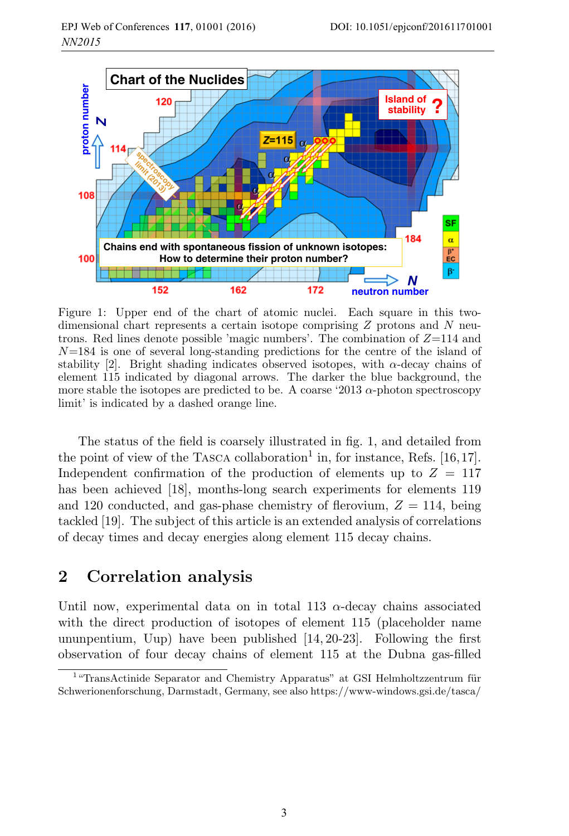

Figure 1: Upper end of the chart of atomic nuclei. Each square in this twodimensional chart represents a certain isotope comprising Z protons and N neutrons. Red lines denote possible 'magic numbers'. The combination of  $Z=114$  and  $N=184$  is one of several long-standing predictions for the centre of the island of stability [2]. Bright shading indicates observed isotopes, with  $\alpha$ -decay chains of element 115 indicated by diagonal arrows. The darker the blue background, the more stable the isotopes are predicted to be. A coarse '2013  $\alpha$ -photon spectroscopy limit' is indicated by a dashed orange line.

The status of the field is coarsely illustrated in fig. 1, and detailed from the point of view of the TASCA collaboration<sup>1</sup> in, for instance, Refs. [16,17]. Independent confirmation of the production of elements up to  $Z = 117$ has been achieved [18], months-long search experiments for elements 119 and 120 conducted, and gas-phase chemistry of flerovium,  $Z = 114$ , being tackled [19]. The subject of this article is an extended analysis of correlations of decay times and decay energies along element 115 decay chains.

#### **2 Correlation analysis**

Until now, experimental data on in total 113  $\alpha$ -decay chains associated with the direct production of isotopes of element 115 (placeholder name ununpentium, Uup) have been published [14, 20-23]. Following the first observation of four decay chains of element 115 at the Dubna gas-filled

 $1$ <sup>"</sup>TransActinide Separator and Chemistry Apparatus" at GSI Helmholtzzentrum für Schwerionenforschung, Darmstadt, Germany, see also https://www-windows.gsi.de/tasca/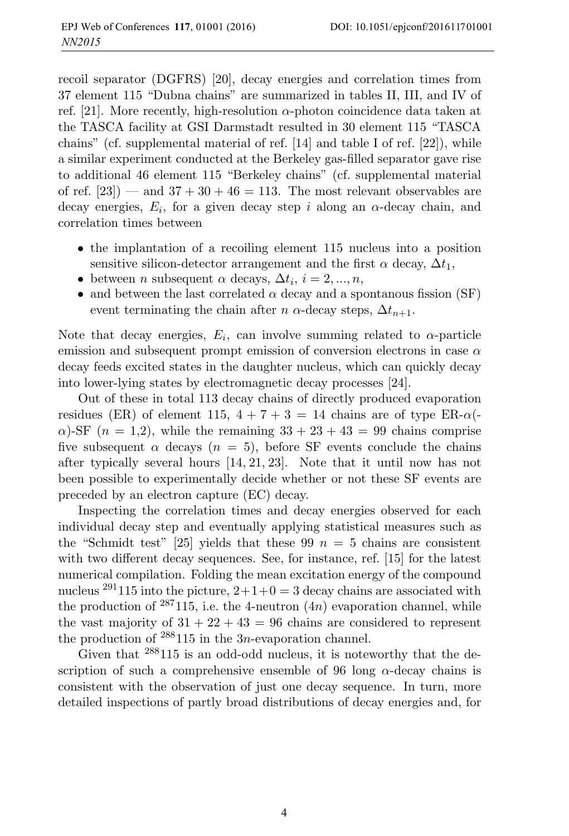recoil separator (DGFRS) [20], decay energies and correlation times from 37 element 115 "Dubna chains" are summarized in tables II, III, and IV of ref. [21]. More recently, high-resolution  $\alpha$ -photon coincidence data taken at the TASCA facility at GSI Darmstadt resulted in 30 element 115 "TASCA chains" (cf. supplemental material of ref. [14] and table I of ref. [22]), while a similar experiment conducted at the Berkeley gas-filled separator gave rise to additional 46 element 115 "Berkeley chains" (cf. supplemental material of ref.  $[23]$  — and  $37 + 30 + 46 = 113$ . The most relevant observables are decay energies,  $E_i$ , for a given decay step i along an  $\alpha$ -decay chain, and correlation times between

- the implantation of a recoiling element 115 nucleus into a position sensitive silicon-detector arrangement and the first  $\alpha$  decay,  $\Delta t_1$ ,
- between *n* subsequent  $\alpha$  decays,  $\Delta t_i$ ,  $i = 2, ..., n$ ,
- and between the last correlated  $\alpha$  decay and a spontanous fission (SF) event terminating the chain after  $n \alpha$ -decay steps,  $\Delta t_{n+1}$ .

Note that decay energies,  $E_i$ , can involve summing related to  $\alpha$ -particle emission and subsequent prompt emission of conversion electrons in case  $\alpha$ decay feeds excited states in the daughter nucleus, which can quickly decay into lower-lying states by electromagnetic decay processes [24].

Out of these in total 113 decay chains of directly produced evaporation residues (ER) of element 115,  $4 + 7 + 3 = 14$  chains are of type ER- $\alpha$ (- $\alpha$ )-SF ( $n = 1,2$ ), while the remaining  $33 + 23 + 43 = 99$  chains comprise five subsequent  $\alpha$  decays  $(n = 5)$ , before SF events conclude the chains after typically several hours [14, 21, 23]. Note that it until now has not been possible to experimentally decide whether or not these SF events are preceded by an electron capture (EC) decay.

Inspecting the correlation times and decay energies observed for each individual decay step and eventually applying statistical measures such as the "Schmidt test" [25] yields that these 99  $n = 5$  chains are consistent with two different decay sequences. See, for instance, ref. [15] for the latest numerical compilation. Folding the mean excitation energy of the compound nucleus <sup>291</sup>115 into the picture,  $2+1+0=3$  decay chains are associated with the production of  $287115$ , i.e. the 4-neutron  $(4n)$  evaporation channel, while the vast majority of  $31 + 22 + 43 = 96$  chains are considered to represent the production of  $288115$  in the 3*n*-evaporation channel.

Given that <sup>288</sup>115 is an odd-odd nucleus, it is noteworthy that the description of such a comprehensive ensemble of 96 long  $\alpha$ -decay chains is consistent with the observation of just one decay sequence. In turn, more detailed inspections of partly broad distributions of decay energies and, for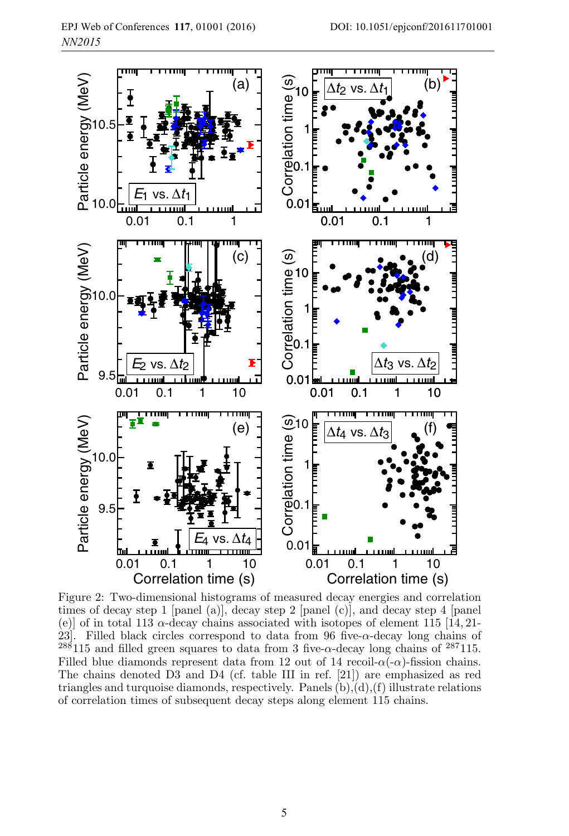

Figure 2: Two-dimensional histograms of measured decay energies and correlation times of decay step 1 [panel (a)], decay step 2 [panel (c)], and decay step 4 [panel (e)] of in total 113  $\alpha$ -decay chains associated with isotopes of element 115 [14, 21-23]. Filled black circles correspond to data from 96 five- $\alpha$ -decay long chains of  $^{288}115$  and filled green squares to data from 3 five- $\alpha$ -decay long chains of  $^{287}115$ . Filled blue diamonds represent data from 12 out of 14 recoil- $\alpha(-\alpha)$ -fission chains. The chains denoted D3 and D4 (cf. table III in ref. [21]) are emphasized as red triangles and turquoise diamonds, respectively. Panels  $(b)$ , $(d)$ , $(f)$  illustrate relations of correlation times of subsequent decay steps along element 115 chains.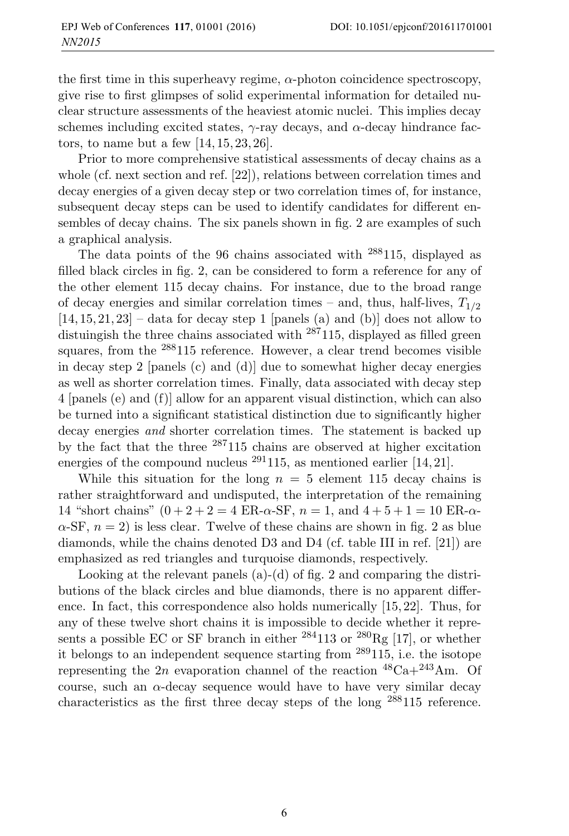the first time in this superheavy regime,  $\alpha$ -photon coincidence spectroscopy, give rise to first glimpses of solid experimental information for detailed nuclear structure assessments of the heaviest atomic nuclei. This implies decay schemes including excited states,  $\gamma$ -ray decays, and  $\alpha$ -decay hindrance factors, to name but a few [14, 15, 23, 26].

Prior to more comprehensive statistical assessments of decay chains as a whole (cf. next section and ref. [22]), relations between correlation times and decay energies of a given decay step or two correlation times of, for instance, subsequent decay steps can be used to identify candidates for different ensembles of decay chains. The six panels shown in fig. 2 are examples of such a graphical analysis.

The data points of the 96 chains associated with <sup>288</sup>115, displayed as filled black circles in fig. 2, can be considered to form a reference for any of the other element 115 decay chains. For instance, due to the broad range of decay energies and similar correlation times – and, thus, half-lives,  $T_{1/2}$  $[14, 15, 21, 23]$  – data for decay step 1 [panels (a) and (b)] does not allow to distuingish the three chains associated with <sup>287</sup>115, displayed as filled green squares, from the <sup>288</sup>115 reference. However, a clear trend becomes visible in decay step 2 [panels (c) and (d)] due to somewhat higher decay energies as well as shorter correlation times. Finally, data associated with decay step 4 [panels (e) and (f)] allow for an apparent visual distinction, which can also be turned into a significant statistical distinction due to significantly higher decay energies and shorter correlation times. The statement is backed up by the fact that the three <sup>287</sup>115 chains are observed at higher excitation energies of the compound nucleus <sup>291</sup>115, as mentioned earlier [14, 21].

While this situation for the long  $n = 5$  element 115 decay chains is rather straightforward and undisputed, the interpretation of the remaining 14 "short chains"  $(0 + 2 + 2 = 4 \text{ ER-}\alpha\text{-}\text{SF}, n = 1, \text{ and } 4 + 5 + 1 = 10 \text{ ER-}\alpha\text{-}$  $\alpha$ -SF,  $n = 2$ ) is less clear. Twelve of these chains are shown in fig. 2 as blue diamonds, while the chains denoted D3 and D4 (cf. table III in ref. [21]) are emphasized as red triangles and turquoise diamonds, respectively.

Looking at the relevant panels (a)-(d) of fig. 2 and comparing the distributions of the black circles and blue diamonds, there is no apparent difference. In fact, this correspondence also holds numerically [15, 22]. Thus, for any of these twelve short chains it is impossible to decide whether it represents a possible EC or SF branch in either  $^{284}113$  or  $^{280}$ Rg [17], or whether it belongs to an independent sequence starting from <sup>289</sup>115, i.e. the isotope representing the 2n evaporation channel of the reaction  ${}^{48}Ca + {}^{243}Am$ . Of course, such an  $\alpha$ -decay sequence would have to have very similar decay characteristics as the first three decay steps of the long <sup>288</sup>115 reference.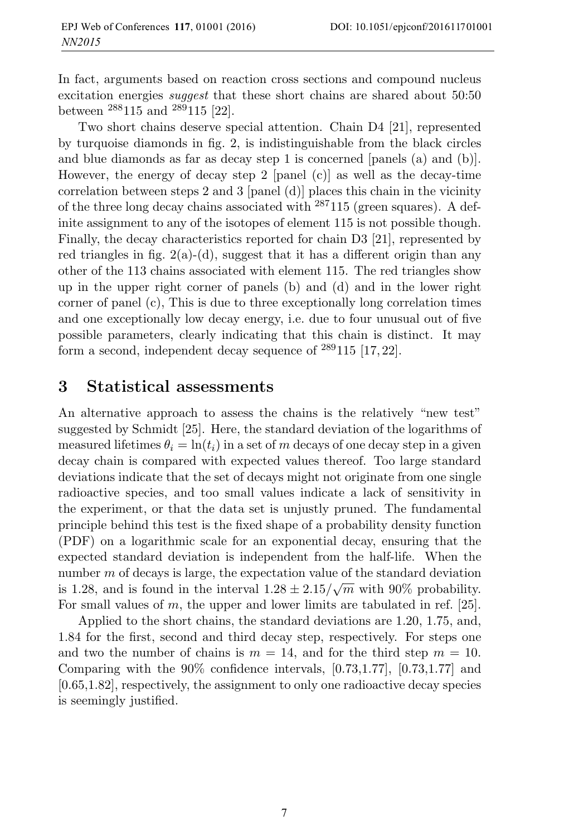In fact, arguments based on reaction cross sections and compound nucleus excitation energies *suggest* that these short chains are shared about 50:50 between <sup>288</sup>115 and <sup>289</sup>115 [22].

Two short chains deserve special attention. Chain D4 [21], represented by turquoise diamonds in fig. 2, is indistinguishable from the black circles and blue diamonds as far as decay step 1 is concerned [panels (a) and (b)]. However, the energy of decay step 2 [panel (c)] as well as the decay-time correlation between steps 2 and 3 [panel (d)] places this chain in the vicinity of the three long decay chains associated with  $287115$  (green squares). A definite assignment to any of the isotopes of element 115 is not possible though. Finally, the decay characteristics reported for chain D3 [21], represented by red triangles in fig.  $2(a)-(d)$ , suggest that it has a different origin than any other of the 113 chains associated with element 115. The red triangles show up in the upper right corner of panels (b) and (d) and in the lower right corner of panel (c), This is due to three exceptionally long correlation times and one exceptionally low decay energy, i.e. due to four unusual out of five possible parameters, clearly indicating that this chain is distinct. It may form a second, independent decay sequence of <sup>289</sup>115 [17, 22].

#### **3 Statistical assessments**

An alternative approach to assess the chains is the relatively "new test" suggested by Schmidt [25]. Here, the standard deviation of the logarithms of measured lifetimes  $\theta_i = \ln(t_i)$  in a set of m decays of one decay step in a given decay chain is compared with expected values thereof. Too large standard deviations indicate that the set of decays might not originate from one single radioactive species, and too small values indicate a lack of sensitivity in the experiment, or that the data set is unjustly pruned. The fundamental principle behind this test is the fixed shape of a probability density function (PDF) on a logarithmic scale for an exponential decay, ensuring that the expected standard deviation is independent from the half-life. When the number  $m$  of decays is large, the expectation value of the standard deviation is 1.28, and is found in the interval  $1.28 \pm 2.15/\sqrt{m}$  with 90% probability. For small values of  $m$ , the upper and lower limits are tabulated in ref. [25].

Applied to the short chains, the standard deviations are 1.20, 1.75, and, 1.84 for the first, second and third decay step, respectively. For steps one and two the number of chains is  $m = 14$ , and for the third step  $m = 10$ . Comparing with the 90% confidence intervals, [0.73,1.77], [0.73,1.77] and [0.65,1.82], respectively, the assignment to only one radioactive decay species is seemingly justified.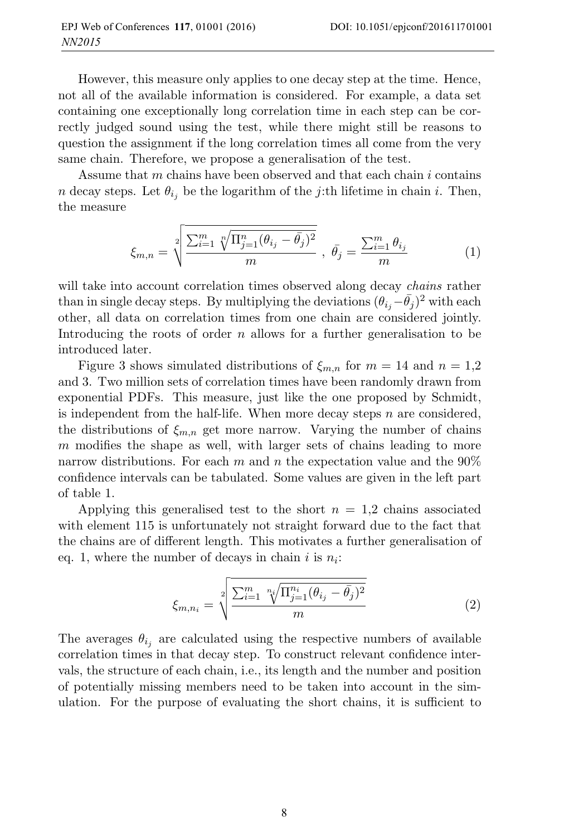However, this measure only applies to one decay step at the time. Hence, not all of the available information is considered. For example, a data set containing one exceptionally long correlation time in each step can be correctly judged sound using the test, while there might still be reasons to question the assignment if the long correlation times all come from the very same chain. Therefore, we propose a generalisation of the test.

Assume that m chains have been observed and that each chain i contains n decay steps. Let  $\theta_{i_j}$  be the logarithm of the j:th lifetime in chain i. Then, the measure

$$
\xi_{m,n} = \sqrt[2]{\frac{\sum_{i=1}^{m} \sqrt[n]{\Pi_{j=1}^{n} (\theta_{i_j} - \bar{\theta}_j)^2}}{m}}, \ \bar{\theta}_j = \frac{\sum_{i=1}^{m} \theta_{i_j}}{m}
$$
 (1)

will take into account correlation times observed along decay *chains* rather than in single decay steps. By multiplying the deviations  $(\theta_{i} - \bar{\theta}_{j})^2$  with each other, all data on correlation times from one chain are considered jointly. Introducing the roots of order n allows for a further generalisation to be introduced later.

Figure 3 shows simulated distributions of  $\xi_{m,n}$  for  $m = 14$  and  $n = 1,2$ and 3. Two million sets of correlation times have been randomly drawn from exponential PDFs. This measure, just like the one proposed by Schmidt, is independent from the half-life. When more decay steps  $n$  are considered, the distributions of  $\xi_{m,n}$  get more narrow. Varying the number of chains m modifies the shape as well, with larger sets of chains leading to more narrow distributions. For each m and n the expectation value and the  $90\%$ confidence intervals can be tabulated. Some values are given in the left part of table 1.

Applying this generalised test to the short  $n = 1.2$  chains associated with element 115 is unfortunately not straight forward due to the fact that the chains are of different length. This motivates a further generalisation of eq. 1, where the number of decays in chain i is  $n_i$ :

$$
\xi_{m,n_i} = \sqrt[2]{\frac{\sum_{i=1}^m \sqrt[n_i]{\prod_{j=1}^{n_i} (\theta_{i_j} - \bar{\theta}_j)^2}}{m}}
$$
(2)

The averages  $\theta_{i_j}$  are calculated using the respective numbers of available correlation times in that decay step. To construct relevant confidence intervals, the structure of each chain, i.e., its length and the number and position of potentially missing members need to be taken into account in the simulation. For the purpose of evaluating the short chains, it is sufficient to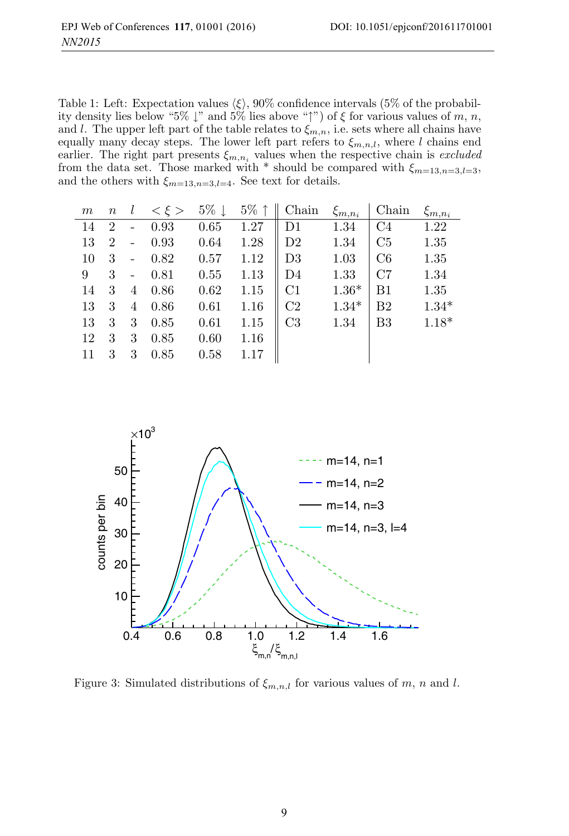Table 1: Left: Expectation values  $\langle \xi \rangle$ , 90% confidence intervals (5% of the probability density lies below "5%  $\downarrow$ " and 5% lies above " $\uparrow$ ") of  $\xi$  for various values of m, n, and l. The upper left part of the table relates to  $\xi_{m,n}$ , i.e. sets where all chains have equally many decay steps. The lower left part refers to  $\xi_{m,n,l}$ , where l chains end earlier. The right part presents  $\xi_{m,n_i}$  values when the respective chain is *excluded* from the data set. Those marked with  $*$  should be compared with  $\xi_{m=13,n=3,l=3}$ , and the others with  $\xi_{m=13,n=3,l=4}$ . See text for details.

| $m\,$ | $\, n$         | l | $<\xi>$ | $5\% \downarrow$ | $5\%$ | Chain          | $\xi_{m,n_i}$ | Chain          | $\xi_{m,n_i}$ |
|-------|----------------|---|---------|------------------|-------|----------------|---------------|----------------|---------------|
| 14    | $\overline{2}$ |   | 0.93    | 0.65             | 1.27  | D1             | 1.34          | C <sub>4</sub> | 1.22          |
| 13    | $\overline{2}$ |   | 0.93    | 0.64             | 1.28  | D <sub>2</sub> | 1.34          | C5             | 1.35          |
| 10    | 3              |   | 0.82    | 0.57             | 1.12  | D <sub>3</sub> | 1.03          | C6             | 1.35          |
| 9     | 3              |   | 0.81    | 0.55             | 1.13  | D <sub>4</sub> | 1.33          | C7             | 1.34          |
| 14    | 3              | 4 | 0.86    | 0.62             | 1.15  | C1             | $1.36*$       | B1             | 1.35          |
| 13    | 3              | 4 | 0.86    | 0.61             | 1.16  | C <sub>2</sub> | $1.34*$       | B <sub>2</sub> | $1.34*$       |
| 13    | 3              | 3 | 0.85    | 0.61             | 1.15  | C <sub>3</sub> | 1.34          | B <sub>3</sub> | $1.18*$       |
| 12    | 3              | 3 | 0.85    | 0.60             | 1.16  |                |               |                |               |
| 11    | 3              | 3 | 0.85    | 0.58             | 1.17  |                |               |                |               |



Figure 3: Simulated distributions of  $\xi_{m,n,l}$  for various values of m, n and l.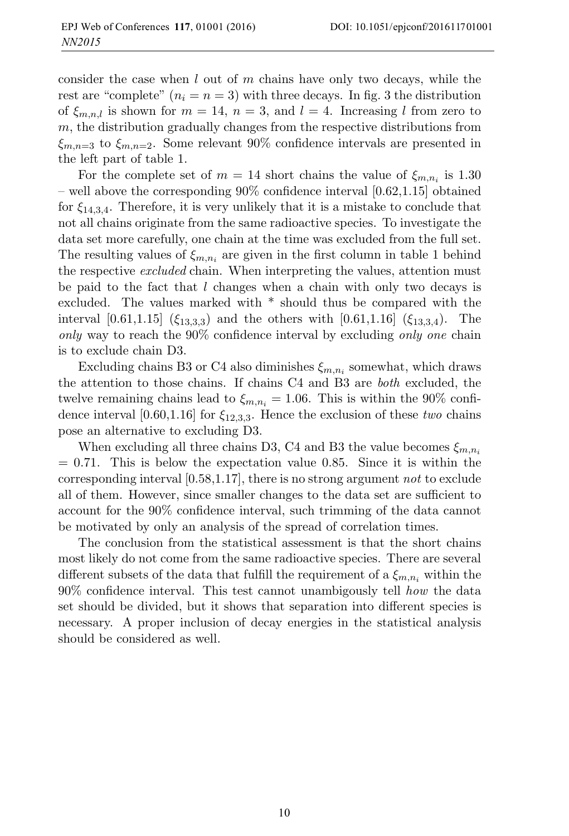consider the case when  $l$  out of  $m$  chains have only two decays, while the rest are "complete"  $(n_i = n = 3)$  with three decays. In fig. 3 the distribution of  $\xi_{m,n,l}$  is shown for  $m = 14$ ,  $n = 3$ , and  $l = 4$ . Increasing l from zero to  $m$ , the distribution gradually changes from the respective distributions from  $\xi_{m,n=3}$  to  $\xi_{m,n=2}$ . Some relevant 90% confidence intervals are presented in the left part of table 1.

For the complete set of  $m = 14$  short chains the value of  $\xi_{m,n_i}$  is 1.30 – well above the corresponding 90% confidence interval [0.62,1.15] obtained for  $\xi_{14,3,4}$ . Therefore, it is very unlikely that it is a mistake to conclude that not all chains originate from the same radioactive species. To investigate the data set more carefully, one chain at the time was excluded from the full set. The resulting values of  $\xi_{m,n_i}$  are given in the first column in table 1 behind the respective *excluded* chain. When interpreting the values, attention must be paid to the fact that  $l$  changes when a chain with only two decays is excluded. The values marked with \* should thus be compared with the interval [0.61,1.15] ( $\xi_{13,3,3}$ ) and the others with [0.61,1.16] ( $\xi_{13,3,4}$ ). The only way to reach the 90% confidence interval by excluding only one chain is to exclude chain D3.

Excluding chains B3 or C4 also diminishes  $\xi_{m,n_i}$  somewhat, which draws the attention to those chains. If chains C4 and B3 are both excluded, the twelve remaining chains lead to  $\xi_{m,n_i} = 1.06$ . This is within the 90% confidence interval [0.60,1.16] for  $\xi_{12,3,3}$ . Hence the exclusion of these two chains pose an alternative to excluding D3.

When excluding all three chains D3, C4 and B3 the value becomes  $\xi_{m,n_i}$  $= 0.71$ . This is below the expectation value 0.85. Since it is within the corresponding interval  $[0.58, 1.17]$ , there is no strong argument not to exclude all of them. However, since smaller changes to the data set are sufficient to account for the 90% confidence interval, such trimming of the data cannot be motivated by only an analysis of the spread of correlation times.

The conclusion from the statistical assessment is that the short chains most likely do not come from the same radioactive species. There are several different subsets of the data that fulfill the requirement of a  $\xi_{m,n_i}$  within the 90% confidence interval. This test cannot unambigously tell how the data set should be divided, but it shows that separation into different species is necessary. A proper inclusion of decay energies in the statistical analysis should be considered as well.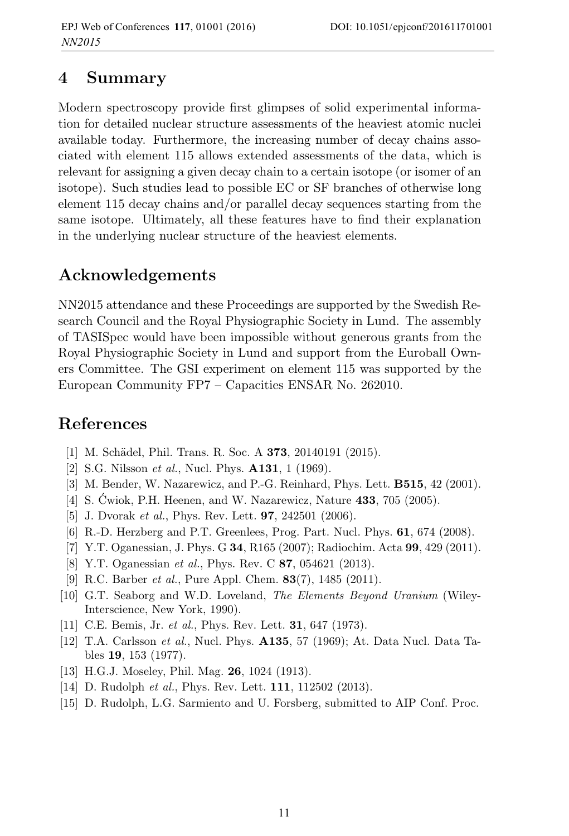# **4 Summary**

Modern spectroscopy provide first glimpses of solid experimental information for detailed nuclear structure assessments of the heaviest atomic nuclei available today. Furthermore, the increasing number of decay chains associated with element 115 allows extended assessments of the data, which is relevant for assigning a given decay chain to a certain isotope (or isomer of an isotope). Such studies lead to possible EC or SF branches of otherwise long element 115 decay chains and/or parallel decay sequences starting from the same isotope. Ultimately, all these features have to find their explanation in the underlying nuclear structure of the heaviest elements.

# **Acknowledgements**

NN2015 attendance and these Proceedings are supported by the Swedish Research Council and the Royal Physiographic Society in Lund. The assembly of TASISpec would have been impossible without generous grants from the Royal Physiographic Society in Lund and support from the Euroball Owners Committee. The GSI experiment on element 115 was supported by the European Community FP7 – Capacities ENSAR No. 262010.

# **References**

- [1] M. Sch¨adel, Phil. Trans. R. Soc. A **373**, 20140191 (2015).
- [2] S.G. Nilsson et al., Nucl. Phys. **A131**, 1 (1969).
- [3] M. Bender, W. Nazarewicz, and P.-G. Reinhard, Phys. Lett. **B515**, 42 (2001).
- [4] S. Ćwiok, P.H. Heenen, and W. Nazarewicz, Nature **433**, 705 (2005).
- [5] J. Dvorak et al., Phys. Rev. Lett. **97**, 242501 (2006).
- [6] R.-D. Herzberg and P.T. Greenlees, Prog. Part. Nucl. Phys. **61**, 674 (2008).
- [7] Y.T. Oganessian, J. Phys. G **34**, R165 (2007); Radiochim. Acta **99**, 429 (2011).
- [8] Y.T. Oganessian et al., Phys. Rev. C **87**, 054621 (2013).
- [9] R.C. Barber et al., Pure Appl. Chem. **83**(7), 1485 (2011).
- [10] G.T. Seaborg and W.D. Loveland, The Elements Beyond Uranium (Wiley-Interscience, New York, 1990).
- [11] C.E. Bemis, Jr. et al., Phys. Rev. Lett. **31**, 647 (1973).
- [12] T.A. Carlsson et al., Nucl. Phys. **A135**, 57 (1969); At. Data Nucl. Data Tables **19**, 153 (1977).
- [13] H.G.J. Moseley, Phil. Mag. **26**, 1024 (1913).
- [14] D. Rudolph et al., Phys. Rev. Lett. **111**, 112502 (2013).
- [15] D. Rudolph, L.G. Sarmiento and U. Forsberg, submitted to AIP Conf. Proc.